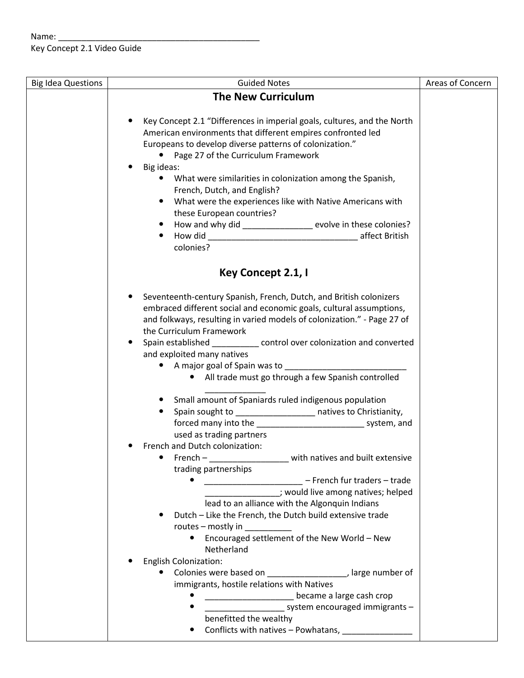## Name: \_\_\_\_\_\_\_\_\_\_\_\_\_\_\_\_\_\_\_\_\_\_\_\_\_\_\_\_\_\_\_\_\_\_\_\_\_\_\_\_\_\_\_ Key Concept 2.1 Video Guide

| <b>Big Idea Questions</b> | <b>Guided Notes</b>                                                             | Areas of Concern |
|---------------------------|---------------------------------------------------------------------------------|------------------|
|                           | <b>The New Curriculum</b>                                                       |                  |
|                           |                                                                                 |                  |
|                           | Key Concept 2.1 "Differences in imperial goals, cultures, and the North         |                  |
|                           | American environments that different empires confronted led                     |                  |
|                           | Europeans to develop diverse patterns of colonization."                         |                  |
|                           | • Page 27 of the Curriculum Framework                                           |                  |
|                           | Big ideas:<br>$\bullet$                                                         |                  |
|                           | • What were similarities in colonization among the Spanish,                     |                  |
|                           | French, Dutch, and English?                                                     |                  |
|                           | What were the experiences like with Native Americans with<br>$\bullet$          |                  |
|                           | these European countries?                                                       |                  |
|                           | How and why did _______________ evolve in these colonies?<br>$\bullet$          |                  |
|                           | ٠                                                                               |                  |
|                           | colonies?                                                                       |                  |
|                           |                                                                                 |                  |
|                           | Key Concept 2.1, I                                                              |                  |
|                           |                                                                                 |                  |
|                           | Seventeenth-century Spanish, French, Dutch, and British colonizers<br>$\bullet$ |                  |
|                           | embraced different social and economic goals, cultural assumptions,             |                  |
|                           | and folkways, resulting in varied models of colonization." - Page 27 of         |                  |
|                           | the Curriculum Framework                                                        |                  |
|                           | Spain established ___________ control over colonization and converted<br>٠      |                  |
|                           | and exploited many natives                                                      |                  |
|                           | • A major goal of Spain was to __________                                       |                  |
|                           | • All trade must go through a few Spanish controlled                            |                  |
|                           | Small amount of Spaniards ruled indigenous population<br>$\bullet$              |                  |
|                           | Spain sought to ____________________ natives to Christianity,<br>$\bullet$      |                  |
|                           | forced many into the _________________________________ system, and              |                  |
|                           | used as trading partners                                                        |                  |
|                           | French and Dutch colonization:                                                  |                  |
|                           | with natives and built extensive<br>$French -$                                  |                  |
|                           | trading partnerships                                                            |                  |
|                           | - French fur traders - trade<br>$\bullet$                                       |                  |
|                           | : would live among natives; helped                                              |                  |
|                           | lead to an alliance with the Algonquin Indians                                  |                  |
|                           | Dutch - Like the French, the Dutch build extensive trade                        |                  |
|                           | routes - mostly in                                                              |                  |
|                           | Encouraged settlement of the New World - New                                    |                  |
|                           | Netherland                                                                      |                  |
|                           | <b>English Colonization:</b>                                                    |                  |
|                           | Colonies were based on _____________________, large number of<br>$\bullet$      |                  |
|                           | immigrants, hostile relations with Natives                                      |                  |
|                           | became a large cash crop                                                        |                  |
|                           | system encouraged immigrants -                                                  |                  |
|                           | benefitted the wealthy                                                          |                  |
|                           | Conflicts with natives - Powhatans,                                             |                  |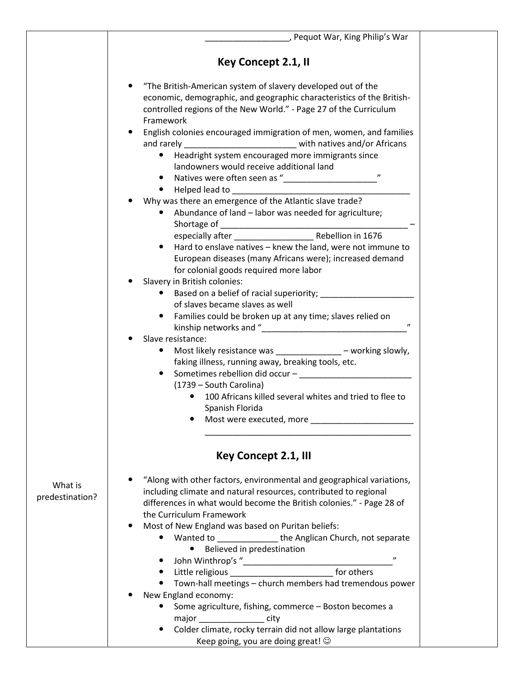|                 | , Pequot War, King Philip's War                                          |  |
|-----------------|--------------------------------------------------------------------------|--|
|                 |                                                                          |  |
|                 | Key Concept 2.1, II                                                      |  |
|                 |                                                                          |  |
|                 | "The British-American system of slavery developed out of the             |  |
|                 | economic, demographic, and geographic characteristics of the British-    |  |
|                 | controlled regions of the New World." - Page 27 of the Curriculum        |  |
|                 | Framework                                                                |  |
|                 | English colonies encouraged immigration of men, women, and families      |  |
|                 | and rarely ________________________________ with natives and/or Africans |  |
|                 | Headright system encouraged more immigrants since<br>$\bullet$           |  |
|                 | landowners would receive additional land                                 |  |
|                 | $\boldsymbol{\eta}$                                                      |  |
|                 |                                                                          |  |
|                 | • Helped lead to __________________                                      |  |
|                 | Why was there an emergence of the Atlantic slave trade?                  |  |
|                 | Abundance of land - labor was needed for agriculture;<br>$\bullet$       |  |
|                 |                                                                          |  |
|                 |                                                                          |  |
|                 | Hard to enslave natives - knew the land, were not immune to              |  |
|                 | European diseases (many Africans were); increased demand                 |  |
|                 | for colonial goods required more labor                                   |  |
|                 | Slavery in British colonies:                                             |  |
|                 | Based on a belief of racial superiority; __________                      |  |
|                 | of slaves became slaves as well                                          |  |
|                 | • Families could be broken up at any time; slaves relied on              |  |
|                 |                                                                          |  |
|                 | Slave resistance:                                                        |  |
|                 | Most likely resistance was ______________ - working slowly,              |  |
|                 | faking illness, running away, breaking tools, etc.                       |  |
|                 |                                                                          |  |
|                 | (1739 - South Carolina)                                                  |  |
|                 | 100 Africans killed several whites and tried to flee to                  |  |
|                 | Spanish Florida                                                          |  |
|                 | Most were executed, more                                                 |  |
|                 |                                                                          |  |
|                 |                                                                          |  |
|                 | Key Concept 2.1, III                                                     |  |
|                 |                                                                          |  |
| What is         | "Along with other factors, environmental and geographical variations,    |  |
| predestination? | including climate and natural resources, contributed to regional         |  |
|                 | differences in what would become the British colonies." - Page 28 of     |  |
|                 | the Curriculum Framework                                                 |  |
|                 | Most of New England was based on Puritan beliefs:                        |  |
|                 | Wanted to ________________the Anglican Church, not separate<br>$\bullet$ |  |
|                 | Believed in predestination<br>٠                                          |  |
|                 | $^{\prime\prime}$                                                        |  |
|                 | Little religious ________________________________ for others             |  |
|                 | Town-hall meetings - church members had tremendous power                 |  |
|                 | New England economy:                                                     |  |
|                 | Some agriculture, fishing, commerce - Boston becomes a                   |  |
|                 | major city                                                               |  |
|                 | Colder climate, rocky terrain did not allow large plantations            |  |
|                 | Keep going, you are doing great! $\odot$                                 |  |
|                 |                                                                          |  |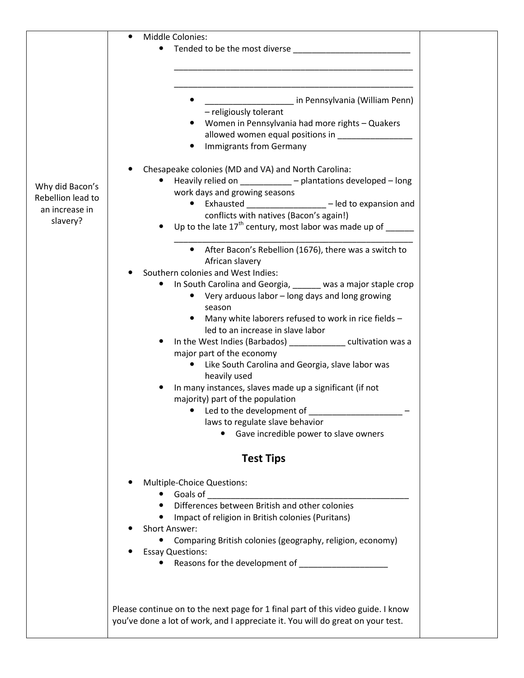|                   | Middle Colonies:<br>Tended to be the most diverse <b>container the most diverse</b><br>$\bullet$                 |
|-------------------|------------------------------------------------------------------------------------------------------------------|
|                   |                                                                                                                  |
|                   |                                                                                                                  |
|                   | in Pennsylvania (William Penn)                                                                                   |
|                   | - religiously tolerant<br>Women in Pennsylvania had more rights - Quakers                                        |
|                   | allowed women equal positions in _______________                                                                 |
|                   | <b>Immigrants from Germany</b>                                                                                   |
|                   | Chesapeake colonies (MD and VA) and North Carolina:                                                              |
| Why did Bacon's   | Heavily relied on ___________ - plantations developed - long<br>work days and growing seasons                    |
| Rebellion lead to | • Exhausted _________________ - led to expansion and                                                             |
| an increase in    | conflicts with natives (Bacon's again!)                                                                          |
| slavery?          | Up to the late 17 <sup>th</sup> century, most labor was made up of $\sqrt{ }$                                    |
|                   | After Bacon's Rebellion (1676), there was a switch to                                                            |
|                   | African slavery                                                                                                  |
|                   | Southern colonies and West Indies:<br>In South Carolina and Georgia, ______ was a major staple crop<br>$\bullet$ |
|                   | • Very arduous labor – long days and long growing                                                                |
|                   | season                                                                                                           |
|                   | Many white laborers refused to work in rice fields -                                                             |
|                   | led to an increase in slave labor<br>In the West Indies (Barbados) _______________ cultivation was a             |
|                   | major part of the economy                                                                                        |
|                   | • Like South Carolina and Georgia, slave labor was                                                               |
|                   | heavily used                                                                                                     |
|                   | In many instances, slaves made up a significant (if not<br>majority) part of the population                      |
|                   | • Led to the development of                                                                                      |
|                   | laws to regulate slave behavior                                                                                  |
|                   | Gave incredible power to slave owners                                                                            |
|                   | <b>Test Tips</b>                                                                                                 |
|                   | Multiple-Choice Questions:                                                                                       |
|                   |                                                                                                                  |
|                   | Differences between British and other colonies                                                                   |
|                   | Impact of religion in British colonies (Puritans)<br><b>Short Answer:</b>                                        |
|                   | Comparing British colonies (geography, religion, economy)                                                        |
|                   | <b>Essay Questions:</b>                                                                                          |
|                   | $\bullet$                                                                                                        |
|                   |                                                                                                                  |
|                   | Please continue on to the next page for 1 final part of this video guide. I know                                 |
|                   | you've done a lot of work, and I appreciate it. You will do great on your test.                                  |
|                   |                                                                                                                  |